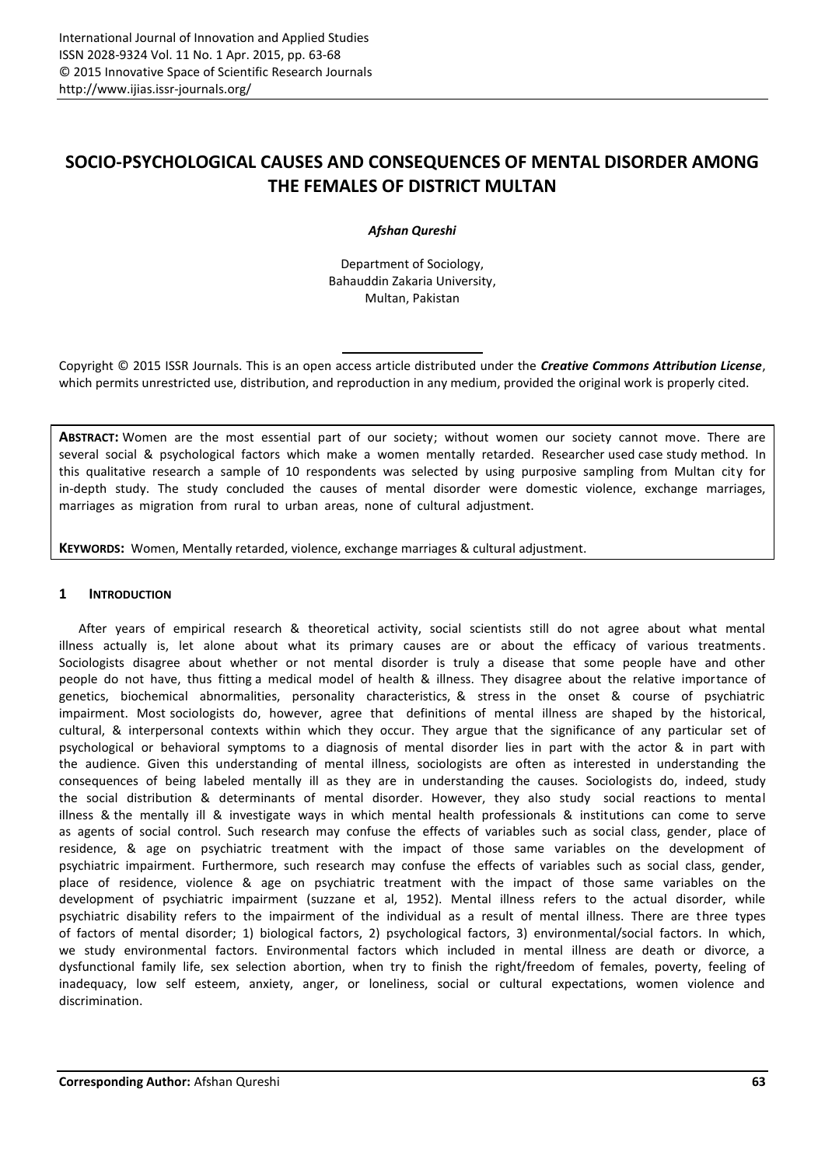# **SOCIO-PSYCHOLOGICAL CAUSES AND CONSEQUENCES OF MENTAL DISORDER AMONG THE FEMALES OF DISTRICT MULTAN**

# *Afshan Qureshi*

Department of Sociology, Bahauddin Zakaria University, Multan, Pakistan

Copyright © 2015 ISSR Journals. This is an open access article distributed under the *Creative Commons Attribution License*, which permits unrestricted use, distribution, and reproduction in any medium, provided the original work is properly cited.

**ABSTRACT:** Women are the most essential part of our society; without women our society cannot move. There are several social & psychological factors which make a women mentally retarded. Researcher used case study method. In this qualitative research a sample of 10 respondents was selected by using purposive sampling from Multan city for in-depth study. The study concluded the causes of mental disorder were domestic violence, exchange marriages, marriages as migration from rural to urban areas, none of cultural adjustment.

**KEYWORDS:** Women, Mentally retarded, violence, exchange marriages & culturaladjustment.

# **1 INTRODUCTION**

After years of empirical research & theoretical activity, social scientists still do not agree about what mental illness actually is, let alone about what its primary causes are or about the efficacy of various treatments. Sociologists disagree about whether or not mental disorder is truly a disease that some people have and other people do not have, thus fitting a medical model of health & illness. They disagree about the relative importance of genetics, biochemical abnormalities, personality characteristics, & stress in the onset & course of psychiatric impairment. Most sociologists do, however, agree that definitions of mental illness are shaped by the historical, cultural, & interpersonal contexts within which they occur. They argue that the significance of any particular set of psychological or behavioral symptoms to a diagnosis of mental disorder lies in part with the actor & in part with the audience. Given this understanding of mental illness, sociologists are often as interested in understanding the consequences of being labeled mentally ill as they are in understanding the causes. Sociologists do, indeed, study the social distribution & determinants of mental disorder. However, they also study social reactions to mental illness & the mentally ill & investigate ways in which mental health professionals & institutions can come to serve as agents of social control. Such research may confuse the effects of variables such as social class, gender, place of residence, & age on psychiatric treatment with the impact of those same variables on the development of psychiatric impairment. Furthermore, such research may confuse the effects of variables such as social class, gender, place of residence, violence & age on psychiatric treatment with the impact of those same variables on the development of psychiatric impairment (suzzane et al, 1952). Mental illness refers to the actual disorder, while psychiatric disability refers to the impairment of the individual as a result of mental illness. There are three types of factors of mental disorder; 1) biological factors, 2) psychological factors, 3) environmental/social factors. In which, we study environmental factors. Environmental factors which included in mental illness are death or divorce, a dysfunctional family life, sex selection abortion, when try to finish the right/freedom of females, poverty, feeling of inadequacy, low self esteem, anxiety, anger, or loneliness, social or cultural expectations, women violence and discrimination.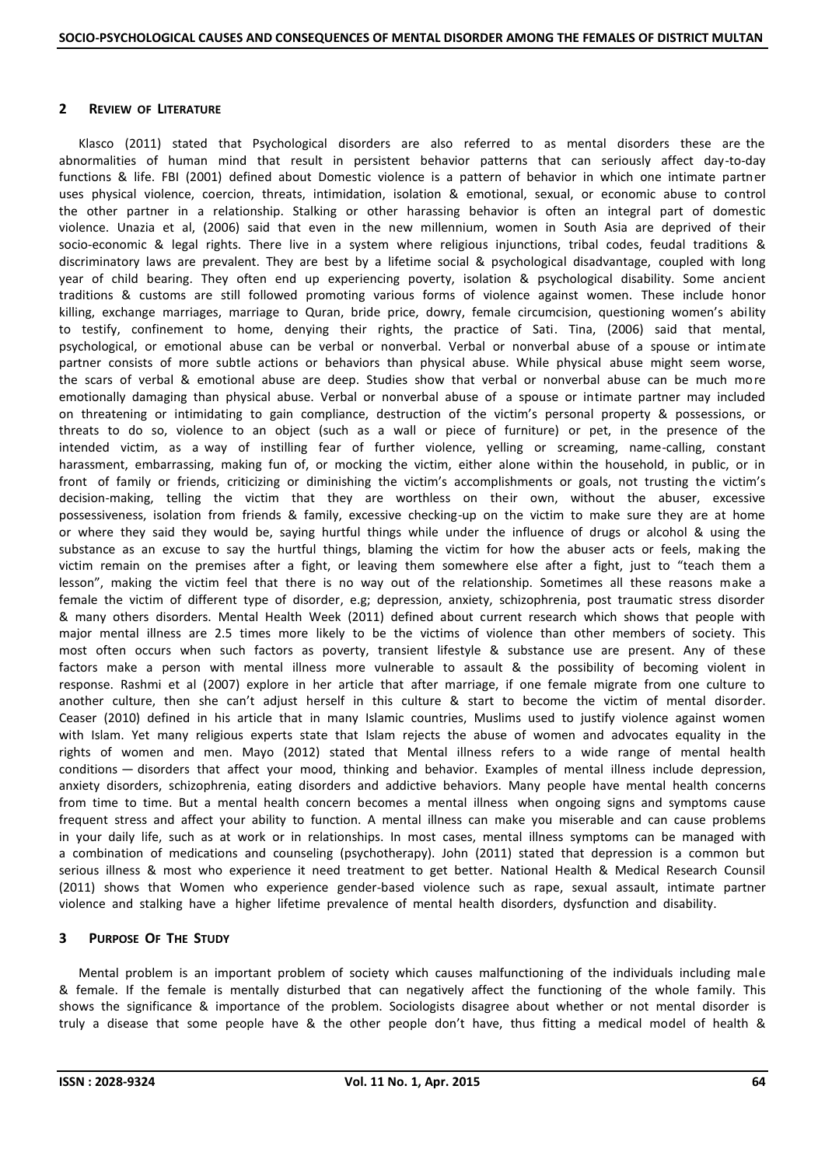# **2 REVIEW OF LITERATURE**

Klasco (2011) stated that Psychological disorders are also referred to as mental disorders these are the abnormalities of human mind that result in persistent behavior patterns that can seriously affect day-to-day functions & life. FBI (2001) defined about Domestic violence is a pattern of behavior in which one intimate partner uses physical violence, coercion, threats, intimidation, isolation & emotional, sexual, or economic abuse to control the other partner in a relationship. Stalking or other harassing behavior is often an integral part of domestic violence. Unazia et al, (2006) said that even in the new millennium, women in South Asia are deprived of their socio-economic & legal rights. There live in a system where religious injunctions, tribal codes, feudal traditions & discriminatory laws are prevalent. They are best by a lifetime social & psychological disadvantage, coupled with long year of child bearing. They often end up experiencing poverty, isolation & psychological disability. Some ancient traditions & customs are still followed promoting various forms of violence against women. These include honor killing, exchange marriages, marriage to Quran, bride price, dowry, female circumcision, questioning women's ability to testify, confinement to home, denying their rights, the practice of Sati. Tina, (2006) said that mental, psychological, or emotional abuse can be verbal or nonverbal. Verbal or nonverbal abuse of a spouse or intimate partner consists of more subtle actions or behaviors than physical abuse. While physical abuse might seem worse, the scars of verbal & emotional abuse are deep. Studies show that verbal or nonverbal abuse can be much more emotionally damaging than physical abuse. Verbal or nonverbal abuse of a spouse or intimate partner may included on threatening or intimidating to gain compliance, destruction of the victim's personal property & possessions, or threats to do so, violence to an object (such as a wall or piece of furniture) or pet, in the presence of the intended victim, as a way of instilling fear of further violence, yelling or screaming, name-calling, constant harassment, embarrassing, making fun of, or mocking the victim, either alone within the household, in public, or in front of family or friends, criticizing or diminishing the victim's accomplishments or goals, not trusting the victim's decision-making, telling the victim that they are worthless on their own, without the abuser, excessive possessiveness, isolation from friends & family, excessive checking-up on the victim to make sure they are at home or where they said they would be, saying hurtful things while under the influence of drugs or alcohol & using the substance as an excuse to say the hurtful things, blaming the victim for how the abuser acts or feels, making the victim remain on the premises after a fight, or leaving them somewhere else after a fight, just to "teach them a lesson", making the victim feel that there is no way out of the relationship. Sometimes all these reasons make a female the victim of different type of disorder, e.g; depression, anxiety, schizophrenia, post traumatic stress disorder & many others disorders. Mental Health Week (2011) defined about current research which shows that people with major mental illness are 2.5 times more likely to be the victims of violence than other members of society. This most often occurs when such factors as poverty, transient lifestyle & substance use are present. Any of these factors make a person with mental illness more vulnerable to assault & the possibility of becoming violent in response. Rashmi et al (2007) explore in her article that after marriage, if one female migrate from one culture to another culture, then she can't adjust herself in this culture & start to become the victim of mental disorder. Ceaser (2010) defined in his article that in many Islamic countries, Muslims used to justify violence against women with Islam. Yet many religious experts state that Islam rejects the abuse of women and advocates equality in the rights of women and men. Mayo (2012) stated that Mental illness refers to a wide range of mental health conditions — disorders that affect your mood, thinking and behavior. Examples of mental illness include depression, anxiety disorders, schizophrenia, eating disorders and addictive behaviors. Many people have mental health concerns from time to time. But a mental health concern becomes a mental illness when ongoing signs and symptoms cause frequent stress and affect your ability to function. A mental illness can make you miserable and can cause problems in your daily life, such as at work or in relationships. In most cases, mental illness symptoms can be managed with a combination of medications and counseling (psychotherapy). John (2011) stated that depression is a common but serious illness & most who experience it need treatment to get better. National Health & Medical Research Counsil (2011) shows that Women who experience gender-based violence such as rape, sexual assault, intimate partner violence and stalking have a higher lifetime prevalence of mental health disorders, dysfunction and disability.

# **3 PURPOSE OF THE STUDY**

Mental problem is an important problem of society which causes malfunctioning of the individuals including male & female. If the female is mentally disturbed that can negatively affect the functioning of the whole family. This shows the significance & importance of the problem. Sociologists disagree about whether or not mental disorder is truly a disease that some people have & the other people don't have, thus fitting a medical model of health &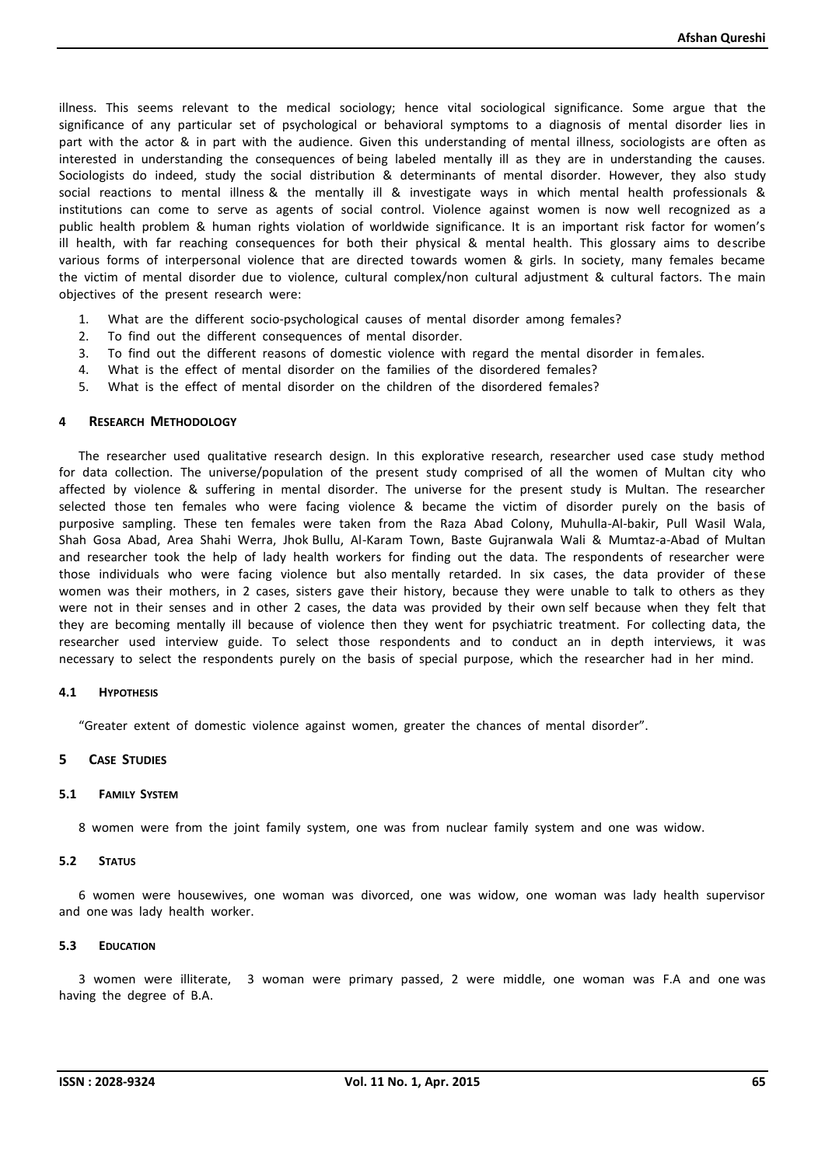illness. This seems relevant to the medical sociology; hence vital sociological significance. Some argue that the significance of any particular set of psychological or behavioral symptoms to a diagnosis of mental disorder lies in part with the actor & in part with the audience. Given this understanding of mental illness, sociologists are often as interested in understanding the consequences of being labeled mentally ill as they are in understanding the causes. Sociologists do indeed, study the social distribution & determinants of mental disorder. However, they also study social reactions to mental illness & the mentally ill & investigate ways in which mental health professionals & institutions can come to serve as agents of social control. Violence against women is now well recognized as a public health problem & human rights violation of worldwide significance. It is an important risk factor for women's ill health, with far reaching consequences for both their physical & mental health. This glossary aims to describe various forms of interpersonal violence that are directed towards women & girls. In society, many females became the victim of mental disorder due to violence, cultural complex/non cultural adjustment & cultural factors. The main objectives of the present research were:

- 1. What are the different socio-psychological causes of mental disorder among females?
- 2. To find out the different consequences of mental disorder.
- 3. To find out the different reasons of domestic violence with regard the mental disorder in females.
- 4. What is the effect of mental disorder on the families of the disordered females?
- 5. What is the effect of mental disorder on the children of the disordered females?

## **4 RESEARCH METHODOLOGY**

The researcher used qualitative research design. In this explorative research, researcher used case study method for data collection. The universe/population of the present study comprised of all the women of Multan city who affected by violence & suffering in mental disorder. The universe for the present study is Multan. The researcher selected those ten females who were facing violence & became the victim of disorder purely on the basis of purposive sampling. These ten females were taken from the Raza Abad Colony, Muhulla-Al-bakir, Pull Wasil Wala, Shah Gosa Abad, Area Shahi Werra, Jhok Bullu, Al-Karam Town, Baste Gujranwala Wali & Mumtaz-a-Abad of Multan and researcher took the help of lady health workers for finding out the data. The respondents of researcher were those individuals who were facing violence but also mentally retarded. In six cases, the data provider of these women was their mothers, in 2 cases, sisters gave their history, because they were unable to talk to others as they were not in their senses and in other 2 cases, the data was provided by their own self because when they felt that they are becoming mentally ill because of violence then they went for psychiatric treatment. For collecting data, the researcher used interview guide. To select those respondents and to conduct an in depth interviews, it was necessary to select the respondents purely on the basis of special purpose, which the researcher had in her mind.

## **4.1 HYPOTHESIS**

"Greater extent of domestic violence against women, greater the chances of mental disorder".

## **5 CASE STUDIES**

## **5.1 FAMILY SYSTEM**

8 women were from the joint family system, one was from nuclear family system and one was widow.

## **5.2 STATUS**

6 women were housewives, one woman was divorced, one was widow, one woman was lady health supervisor and one was lady health worker.

# **5.3 EDUCATION**

3 women were illiterate, 3 woman were primary passed, 2 were middle, one woman was F.A and one was having the degree of B.A.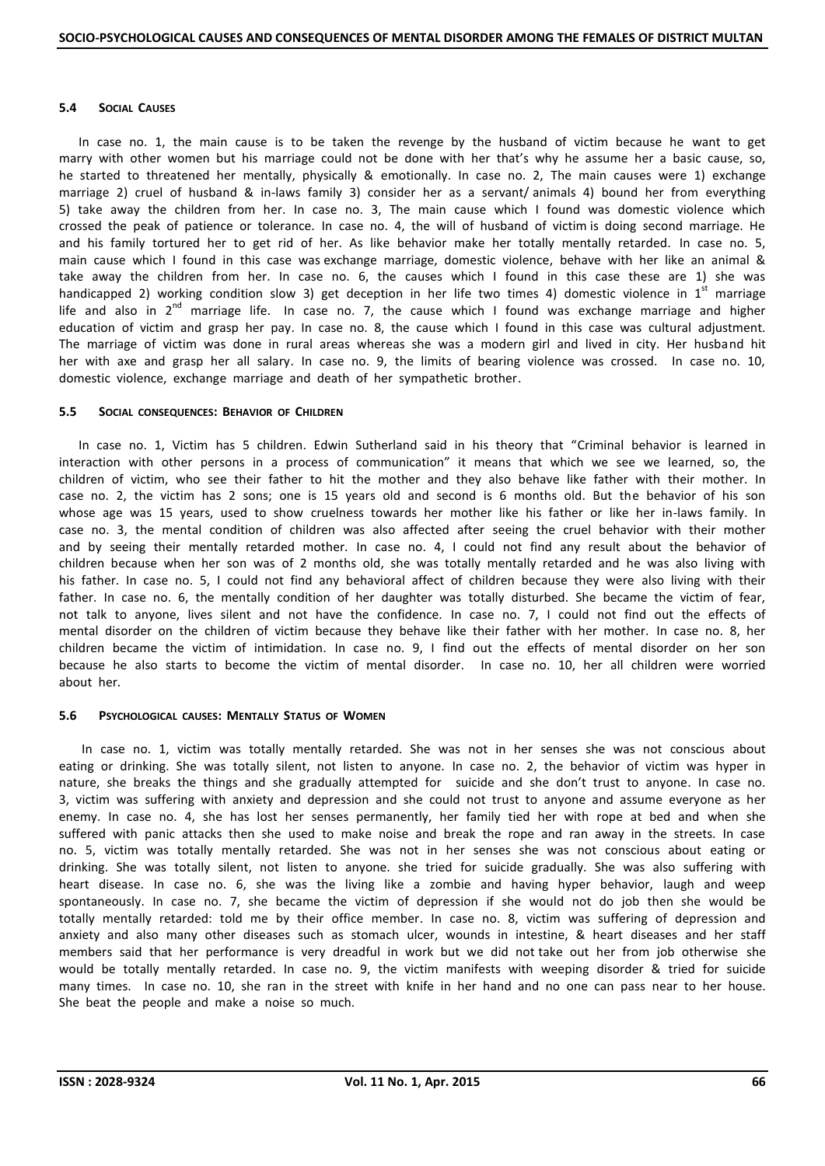## **5.4 SOCIAL CAUSES**

In case no. 1, the main cause is to be taken the revenge by the husband of victim because he want to get marry with other women but his marriage could not be done with her that's why he assume her a basic cause, so, he started to threatened her mentally, physically & emotionally. In case no. 2, The main causes were 1) exchange marriage 2) cruel of husband & in-laws family 3) consider her as a servant/ animals 4) bound her from everything 5) take away the children from her. In case no. 3, The main cause which I found was domestic violence which crossed the peak of patience or tolerance. In case no. 4, the will of husband of victim is doing second marriage. He and his family tortured her to get rid of her. As like behavior make her totally mentally retarded. In case no. 5, main cause which I found in this case was exchange marriage, domestic violence, behave with her like an animal & take away the children from her. In case no. 6, the causes which I found in this case these are 1) she was handicapped 2) working condition slow 3) get deception in her life two times 4) domestic violence in  $1<sup>st</sup>$  marriage life and also in  $2^{nd}$  marriage life. In case no. 7, the cause which I found was exchange marriage and higher education of victim and grasp her pay. In case no. 8, the cause which I found in this case was cultural adjustment. The marriage of victim was done in rural areas whereas she was a modern girl and lived in city. Her husband hit her with axe and grasp her all salary. In case no. 9, the limits of bearing violence was crossed. In case no. 10, domestic violence, exchange marriage and death of her sympathetic brother.

# **5.5 SOCIAL CONSEQUENCES: BEHAVIOR OF CHILDREN**

In case no. 1, Victim has 5 children. Edwin Sutherland said in his theory that "Criminal behavior is learned in interaction with other persons in a process of communication" it means that which we see we learned, so, the children of victim, who see their father to hit the mother and they also behave like father with their mother. In case no. 2, the victim has 2 sons; one is 15 years old and second is 6 months old. But the behavior of his son whose age was 15 years, used to show cruelness towards her mother like his father or like her in-laws family. In case no. 3, the mental condition of children was also affected after seeing the cruel behavior with their mother and by seeing their mentally retarded mother. In case no. 4, I could not find any result about the behavior of children because when her son was of 2 months old, she was totally mentally retarded and he was also living with his father. In case no. 5, I could not find any behavioral affect of children because they were also living with their father. In case no. 6, the mentally condition of her daughter was totally disturbed. She became the victim of fear, not talk to anyone, lives silent and not have the confidence. In case no. 7, I could not find out the effects of mental disorder on the children of victim because they behave like their father with her mother. In case no. 8, her children became the victim of intimidation. In case no. 9, I find out the effects of mental disorder on her son because he also starts to become the victim of mental disorder. In case no. 10, her all children were worried about her.

# **5.6 PSYCHOLOGICAL CAUSES: MENTALLY STATUS OF WOMEN**

In case no. 1, victim was totally mentally retarded. She was not in her senses she was not conscious about eating or drinking. She was totally silent, not listen to anyone. In case no. 2, the behavior of victim was hyper in nature, she breaks the things and she gradually attempted for suicide and she don't trust to anyone. In case no. 3, victim was suffering with anxiety and depression and she could not trust to anyone and assume everyone as her enemy. In case no. 4, she has lost her senses permanently, her family tied her with rope at bed and when she suffered with panic attacks then she used to make noise and break the rope and ran away in the streets. In case no. 5, victim was totally mentally retarded. She was not in her senses she was not conscious about eating or drinking. She was totally silent, not listen to anyone. she tried for suicide gradually. She was also suffering with heart disease. In case no. 6, she was the living like a zombie and having hyper behavior, laugh and weep spontaneously. In case no. 7, she became the victim of depression if she would not do job then she would be totally mentally retarded: told me by their office member. In case no. 8, victim was suffering of depression and anxiety and also many other diseases such as stomach ulcer, wounds in intestine, & heart diseases and her staff members said that her performance is very dreadful in work but we did not take out her from job otherwise she would be totally mentally retarded. In case no. 9, the victim manifests with weeping disorder & tried for suicide many times. In case no. 10, she ran in the street with knife in her hand and no one can pass near to her house. She beat the people and make a noise so much.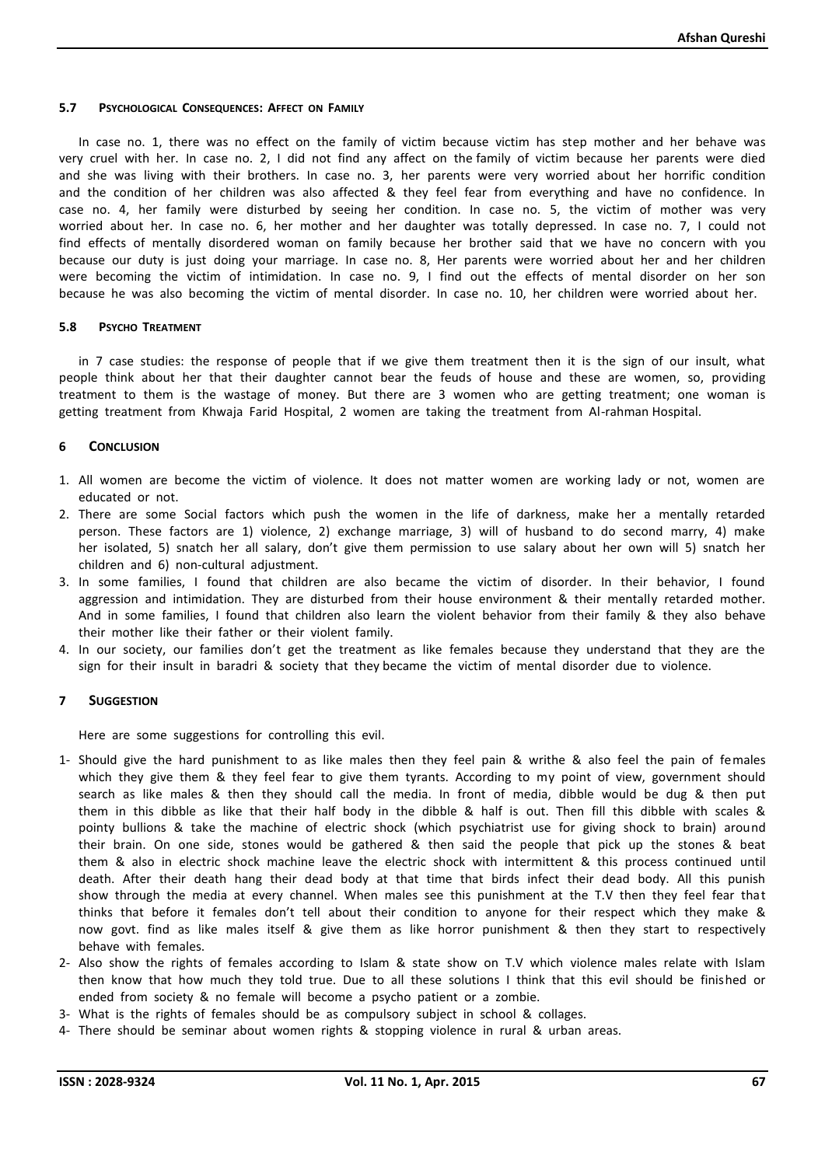## **5.7 PSYCHOLOGICAL CONSEQUENCES: AFFECT ON FAMILY**

In case no. 1, there was no effect on the family of victim because victim has step mother and her behave was very cruel with her. In case no. 2, I did not find any affect on the family of victim because her parents were died and she was living with their brothers. In case no. 3, her parents were very worried about her horrific condition and the condition of her children was also affected & they feel fear from everything and have no confidence. In case no. 4, her family were disturbed by seeing her condition. In case no. 5, the victim of mother was very worried about her. In case no. 6, her mother and her daughter was totally depressed. In case no. 7, I could not find effects of mentally disordered woman on family because her brother said that we have no concern with you because our duty is just doing your marriage. In case no. 8, Her parents were worried about her and her children were becoming the victim of intimidation. In case no. 9, I find out the effects of mental disorder on her son because he was also becoming the victim of mental disorder. In case no. 10, her children were worried about her.

## **5.8 PSYCHO TREATMENT**

in 7 case studies: the response of people that if we give them treatment then it is the sign of our insult, what people think about her that their daughter cannot bear the feuds of house and these are women, so, providing treatment to them is the wastage of money. But there are 3 women who are getting treatment; one woman is getting treatment from Khwaja Farid Hospital, 2 women are taking the treatment from Al-rahman Hospital.

# **6 CONCLUSION**

- 1. All women are become the victim of violence. It does not matter women are working lady or not, women are educated or not.
- 2. There are some Social factors which push the women in the life of darkness, make her a mentally retarded person. These factors are 1) violence, 2) exchange marriage, 3) will of husband to do second marry, 4) make her isolated, 5) snatch her all salary, don't give them permission to use salary about her own will 5) snatch her children and 6) non-cultural adjustment.
- 3. In some families, I found that children are also became the victim of disorder. In their behavior, I found aggression and intimidation. They are disturbed from their house environment & their mentally retarded mother. And in some families, I found that children also learn the violent behavior from their family & they also behave their mother like their father or their violent family.
- 4. In our society, our families don't get the treatment as like females because they understand that they are the sign for their insult in baradri & society that they became the victim of mental disorder due to violence.

# **7 SUGGESTION**

Here are some suggestions for controlling this evil.

- 1- Should give the hard punishment to as like males then they feel pain & writhe & also feel the pain of females which they give them & they feel fear to give them tyrants. According to my point of view, government should search as like males & then they should call the media. In front of media, dibble would be dug & then put them in this dibble as like that their half body in the dibble & half is out. Then fill this dibble with scales & pointy bullions & take the machine of electric shock (which psychiatrist use for giving shock to brain) around their brain. On one side, stones would be gathered & then said the people that pick up the stones & beat them & also in electric shock machine leave the electric shock with intermittent & this process continued until death. After their death hang their dead body at that time that birds infect their dead body. All this punish show through the media at every channel. When males see this punishment at the T.V then they feel fear that thinks that before it females don't tell about their condition to anyone for their respect which they make & now govt. find as like males itself & give them as like horror punishment & then they start to respectively behave with females.
- 2- Also show the rights of females according to Islam & state show on T.V which violence males relate with Islam then know that how much they told true. Due to all these solutions I think that this evil should be finished or ended from society & no female will become a psycho patient or a zombie.
- 3- What is the rights of females should be as compulsory subject in school & collages.
- 4- There should be seminar about women rights & stopping violence in rural & urban areas.